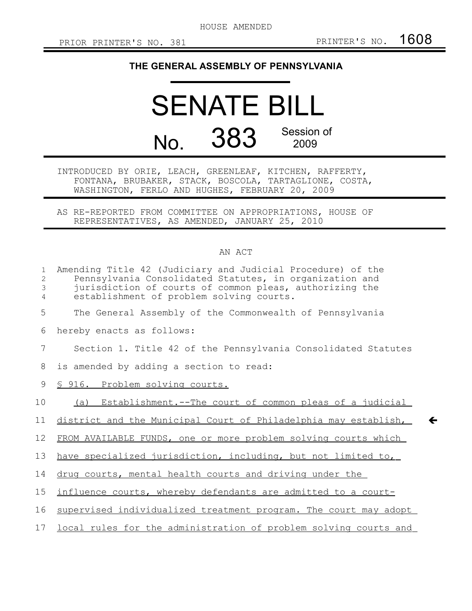HOUSE AMENDED

 $\leftarrow$ 

## **THE GENERAL ASSEMBLY OF PENNSYLVANIA**

## SENATE BILL No. 383 Session of 2009

INTRODUCED BY ORIE, LEACH, GREENLEAF, KITCHEN, RAFFERTY, FONTANA, BRUBAKER, STACK, BOSCOLA, TARTAGLIONE, COSTA, WASHINGTON, FERLO AND HUGHES, FEBRUARY 20, 2009

AS RE-REPORTED FROM COMMITTEE ON APPROPRIATIONS, HOUSE OF REPRESENTATIVES, AS AMENDED, JANUARY 25, 2010

## AN ACT

| $\mathbf 1$<br>2<br>3<br>4 | Amending Title 42 (Judiciary and Judicial Procedure) of the<br>Pennsylvania Consolidated Statutes, in organization and<br>jurisdiction of courts of common pleas, authorizing the<br>establishment of problem solving courts. |
|----------------------------|-------------------------------------------------------------------------------------------------------------------------------------------------------------------------------------------------------------------------------|
| 5                          | The General Assembly of the Commonwealth of Pennsylvania                                                                                                                                                                      |
| 6                          | hereby enacts as follows:                                                                                                                                                                                                     |
| 7                          | Section 1. Title 42 of the Pennsylvania Consolidated Statutes                                                                                                                                                                 |
| 8                          | is amended by adding a section to read:                                                                                                                                                                                       |
| 9                          | § 916. Problem solving courts.                                                                                                                                                                                                |
| 10                         | (a) Establishment.--The court of common pleas of a judicial                                                                                                                                                                   |
| 11                         | district and the Municipal Court of Philadelphia may establish,                                                                                                                                                               |
| 12                         | FROM AVAILABLE FUNDS, one or more problem solving courts which                                                                                                                                                                |
| 13                         | have specialized jurisdiction, including, but not limited to,                                                                                                                                                                 |
| 14                         | drug courts, mental health courts and driving under the                                                                                                                                                                       |
| 15                         | influence courts, whereby defendants are admitted to a court-                                                                                                                                                                 |
| 16                         | supervised individualized treatment program. The court may adopt                                                                                                                                                              |
| 17                         | local rules for the administration of problem solving courts and                                                                                                                                                              |
|                            |                                                                                                                                                                                                                               |